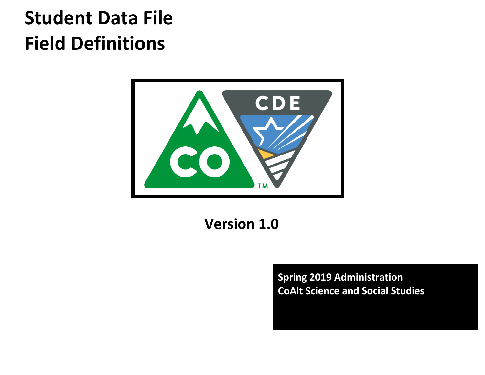# **Student Data File Field Definitions**



**Version 1.0**

**Spring 2019 Administration CoAlt Science and Social Studies**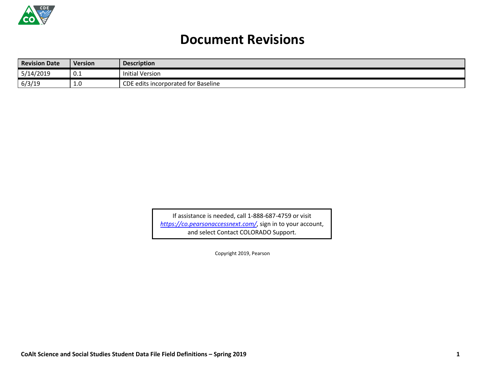

## **Document Revisions**

| <b>Revision Date</b> | <b>Version</b> | <b>Description</b>                  |
|----------------------|----------------|-------------------------------------|
| 5/14/2019            | v.⊥            | Initial Version                     |
| 6/3/19               | <b>L.U</b>     | CDE edits incorporated for Baseline |

If assistance is needed, call 1-888-687-4759 or visit *<https://co.pearsonaccessnext.com/>*, sign in to your account, and select Contact COLORADO Support.

Copyright 2019, Pearson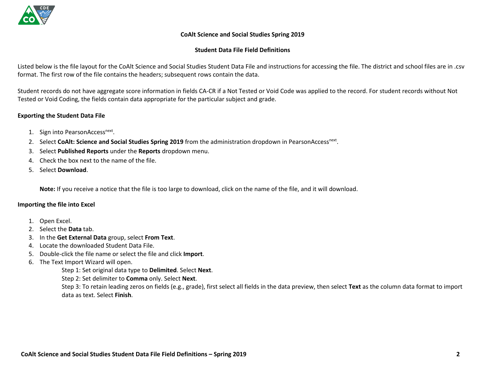

#### **CoAlt Science and Social Studies Spring 2019**

#### **Student Data File Field Definitions**

Listed below is the file layout for the CoAlt Science and Social Studies Student Data File and instructions for accessing the file. The district and school files are in .csv format. The first row of the file contains the headers; subsequent rows contain the data.

Student records do not have aggregate score information in fields CA-CR if a Not Tested or Void Code was applied to the record. For student records without Not Tested or Void Coding, the fields contain data appropriate for the particular subject and grade.

#### **Exporting the Student Data File**

- 1. Sign into PearsonAccess<sup>next</sup>.
- 2. Select CoAlt: Science and Social Studies Spring 2019 from the administration dropdown in PearsonAccess<sup>next</sup>.
- 3. Select **Published Reports** under the **Reports** dropdown menu.
- 4. Check the box next to the name of the file.
- 5. Select **Download**.

**Note:** If you receive a notice that the file is too large to download, click on the name of the file, and it will download.

#### **Importing the file into Excel**

- 1. Open Excel.
- 2. Select the **Data** tab.
- 3. In the **Get External Data** group, select **From Text**.
- 4. Locate the downloaded Student Data File.
- 5. Double-click the file name or select the file and click **Import**.
- 6. The Text Import Wizard will open.

Step 1: Set original data type to **Delimited**. Select **Next**.

Step 2: Set delimiter to **Comma** only. Select **Next**.

Step 3: To retain leading zeros on fields (e.g., grade), first select all fields in the data preview, then select **Text** as the column data format to import data as text. Select **Finish**.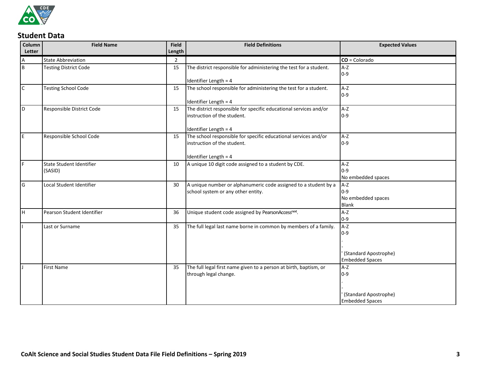

### **Student Data**

| Column       | <b>Field Name</b>                   | <b>Field</b>   | <b>Field Definitions</b>                                                                              | <b>Expected Values</b>                                 |
|--------------|-------------------------------------|----------------|-------------------------------------------------------------------------------------------------------|--------------------------------------------------------|
| Letter       |                                     | Length         |                                                                                                       |                                                        |
| A            | <b>State Abbreviation</b>           | $\overline{2}$ |                                                                                                       | $CO = Colorado$                                        |
| B            | <b>Testing District Code</b>        | 15             | The district responsible for administering the test for a student.                                    | $A-Z$<br>$0 - 9$                                       |
|              |                                     |                | Identifier Length = 4                                                                                 |                                                        |
| $\mathsf{C}$ | <b>Testing School Code</b>          | 15             | The school responsible for administering the test for a student.                                      | $A-Z$<br>$0 - 9$                                       |
|              |                                     |                | Identifier Length = 4                                                                                 |                                                        |
| ID           | Responsible District Code           | 15             | The district responsible for specific educational services and/or<br>instruction of the student.      | $A-Z$<br>$0 - 9$                                       |
|              |                                     |                | Identifier Length = 4                                                                                 |                                                        |
| IE.          | Responsible School Code             | 15             | The school responsible for specific educational services and/or<br>instruction of the student.        | $A-Z$<br>$0 - 9$                                       |
|              |                                     |                | Identifier Length = 4                                                                                 |                                                        |
| l F          | State Student Identifier<br>(SASID) | 10             | A unique 10 digit code assigned to a student by CDE.                                                  | $A-Z$<br>$0 - 9$<br>No embedded spaces                 |
| G            | Local Student Identifier            | 30             | A unique number or alphanumeric code assigned to a student by a<br>school system or any other entity. | $A-Z$<br>$0 - 9$<br>No embedded spaces<br><b>Blank</b> |
| lн           | Pearson Student Identifier          | 36             | Unique student code assigned by PearsonAccessnext.                                                    | $A-Z$<br>$0 - 9$                                       |
|              | Last or Surname                     | 35             | The full legal last name borne in common by members of a family.                                      | $A-Z$<br>$0-9$<br>(Standard Apostrophe)                |
|              |                                     |                |                                                                                                       | <b>Embedded Spaces</b>                                 |
|              | First Name                          | 35             | The full legal first name given to a person at birth, baptism, or<br>through legal change.            | A-Z<br>$0 - 9$                                         |
|              |                                     |                |                                                                                                       | (Standard Apostrophe)<br><b>Embedded Spaces</b>        |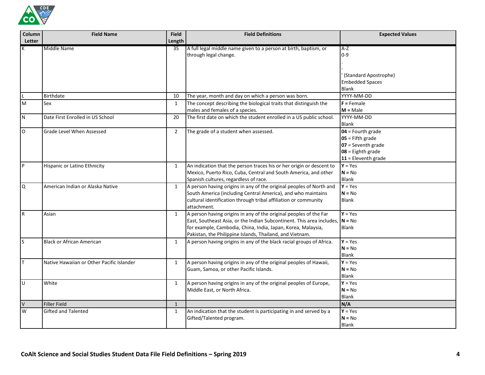

| Column<br>Letter | <b>Field Name</b>                         | <b>Field</b><br>Length | <b>Field Definitions</b>                                                                                                                                                                                                                                                        | <b>Expected Values</b>                                                                                            |
|------------------|-------------------------------------------|------------------------|---------------------------------------------------------------------------------------------------------------------------------------------------------------------------------------------------------------------------------------------------------------------------------|-------------------------------------------------------------------------------------------------------------------|
| К                | Middle Name                               | 35                     | A full legal middle name given to a person at birth, baptism, or<br>through legal change.                                                                                                                                                                                       | $A-Z$<br>$0 - 9$                                                                                                  |
|                  |                                           |                        |                                                                                                                                                                                                                                                                                 | (Standard Apostrophe)<br><b>Embedded Spaces</b><br><b>Blank</b>                                                   |
|                  | <b>Birthdate</b>                          | 10                     | The year, month and day on which a person was born.                                                                                                                                                                                                                             | YYYY-MM-DD                                                                                                        |
| M                | Sex                                       | $\mathbf{1}$           | The concept describing the biological traits that distinguish the<br>males and females of a species.                                                                                                                                                                            | $F =$ Female<br>$M = Male$                                                                                        |
| $\mathsf{N}$     | Date First Enrolled in US School          | 20                     | The first date on which the student enrolled in a US public school.                                                                                                                                                                                                             | YYYY-MM-DD<br><b>Blank</b>                                                                                        |
| $\mathsf O$      | Grade Level When Assessed                 | $\overline{2}$         | The grade of a student when assessed.                                                                                                                                                                                                                                           | $04$ = Fourth grade<br>$05$ = Fifth grade<br>$07$ = Seventh grade<br>$08 =$ Eighth grade<br>$11$ = Eleventh grade |
| $\vert$ P        | Hispanic or Latino Ethnicity              | $\mathbf{1}$           | An indication that the person traces his or her origin or descent to<br>Mexico, Puerto Rico, Cuba, Central and South America, and other<br>Spanish cultures, regardless of race.                                                                                                | $Y = Yes$<br>$N = No$<br>Blank                                                                                    |
| Q                | American Indian or Alaska Native          | $\mathbf{1}$           | A person having origins in any of the original peoples of North and<br>South America (including Central America), and who maintains<br>cultural identification through tribal affiliation or community<br>attachment.                                                           | $Y = Yes$<br>$N = No$<br>Blank                                                                                    |
| R                | Asian                                     | $\mathbf{1}$           | A person having origins in any of the original peoples of the Far<br>East, Southeast Asia, or the Indian Subcontinent. This area includes, $N = No$<br>for example, Cambodia, China, India, Japan, Korea, Malaysia,<br>Pakistan, the Philippine Islands, Thailand, and Vietnam. | $Y = Yes$<br><b>Blank</b>                                                                                         |
| S                | <b>Black or African American</b>          | $\mathbf{1}$           | A person having origins in any of the black racial groups of Africa.                                                                                                                                                                                                            | $Y = Yes$<br>$N = No$<br><b>Blank</b>                                                                             |
| T                | Native Hawaiian or Other Pacific Islander | $\mathbf{1}$           | A person having origins in any of the original peoples of Hawaii,<br>Guam, Samoa, or other Pacific Islands.                                                                                                                                                                     | $Y = Yes$<br>$N = No$<br><b>Blank</b>                                                                             |
| U                | White                                     | $\mathbf{1}$           | A person having origins in any of the original peoples of Europe,<br>Middle East, or North Africa.                                                                                                                                                                              | $Y = Yes$<br>$N = No$<br><b>Blank</b>                                                                             |
| $\vee$           | Filler Field                              | $\mathbf{1}$           |                                                                                                                                                                                                                                                                                 | N/A                                                                                                               |
| W                | <b>Gifted and Talented</b>                | $\mathbf{1}$           | An indication that the student is participating in and served by a<br>Gifted/Talented program.                                                                                                                                                                                  | $Y = Yes$<br>$N = No$<br><b>Blank</b>                                                                             |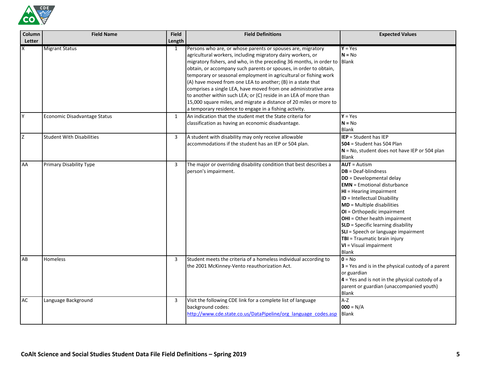

| Column      | <b>Field Name</b>                | <b>Field</b> | <b>Field Definitions</b>                                                                                                                                                                                                                                                                                                                                                                                                                                                    | <b>Expected Values</b>                                                                                                                                                                                                                                                                                                                                                                                                                          |
|-------------|----------------------------------|--------------|-----------------------------------------------------------------------------------------------------------------------------------------------------------------------------------------------------------------------------------------------------------------------------------------------------------------------------------------------------------------------------------------------------------------------------------------------------------------------------|-------------------------------------------------------------------------------------------------------------------------------------------------------------------------------------------------------------------------------------------------------------------------------------------------------------------------------------------------------------------------------------------------------------------------------------------------|
| Letter<br>X | <b>Migrant Status</b>            | Length<br>1  | Persons who are, or whose parents or spouses are, migratory<br>agricultural workers, including migratory dairy workers, or<br>migratory fishers, and who, in the preceding 36 months, in order to Blank                                                                                                                                                                                                                                                                     | $Y = Yes$<br>$N = No$                                                                                                                                                                                                                                                                                                                                                                                                                           |
|             |                                  |              | obtain, or accompany such parents or spouses, in order to obtain,<br>temporary or seasonal employment in agricultural or fishing work<br>(A) have moved from one LEA to another; (B) in a state that<br>comprises a single LEA, have moved from one administrative area<br>to another within such LEA; or (C) reside in an LEA of more than<br>15,000 square miles, and migrate a distance of 20 miles or more to<br>a temporary residence to engage in a fishing activity. |                                                                                                                                                                                                                                                                                                                                                                                                                                                 |
| Y           | Economic Disadvantage Status     | $\mathbf{1}$ | An indication that the student met the State criteria for<br>classification as having an economic disadvantage.                                                                                                                                                                                                                                                                                                                                                             | $Y = Yes$<br>$N = No$<br><b>Blank</b>                                                                                                                                                                                                                                                                                                                                                                                                           |
| Z           | <b>Student With Disabilities</b> | 3            | A student with disability may only receive allowable<br>accommodations if the student has an IEP or 504 plan.                                                                                                                                                                                                                                                                                                                                                               | <b>IEP</b> = Student has IEP<br>504 = Student has 504 Plan<br>N = No, student does not have IEP or 504 plan<br><b>Blank</b>                                                                                                                                                                                                                                                                                                                     |
| AA          | <b>Primary Disability Type</b>   | $\mathbf{3}$ | The major or overriding disability condition that best describes a<br>person's impairment.                                                                                                                                                                                                                                                                                                                                                                                  | $AUT =$ Autism<br>$DB = Deaf-blindness$<br><b>DD</b> = Developmental delay<br><b>EMN</b> = Emotional disturbance<br>$HI = Hearing impairment$<br>ID = Intellectual Disability<br><b>MD</b> = Multiple disabilities<br>OI = Orthopedic impairment<br>OHI = Other health impairment<br><b>SLD</b> = Specific learning disability<br>SLI = Speech or language impairment<br>TBI = Traumatic brain injury<br>VI = Visual impairment<br><b>Blank</b> |
| AB          | Homeless                         | 3            | Student meets the criteria of a homeless individual according to<br>the 2001 McKinney-Vento reauthorization Act.                                                                                                                                                                                                                                                                                                                                                            | $0 = No$<br>$3$ = Yes and is in the physical custody of a parent<br>or guardian<br>$4$ = Yes and is not in the physical custody of a<br>parent or guardian (unaccompanied youth)<br><b>Blank</b>                                                                                                                                                                                                                                                |
| AC          | Language Background              | 3            | Visit the following CDE link for a complete list of language<br>background codes:<br>http://www.cde.state.co.us/DataPipeline/org language codes.asp                                                                                                                                                                                                                                                                                                                         | $A-Z$<br>$000 = N/A$<br><b>Blank</b>                                                                                                                                                                                                                                                                                                                                                                                                            |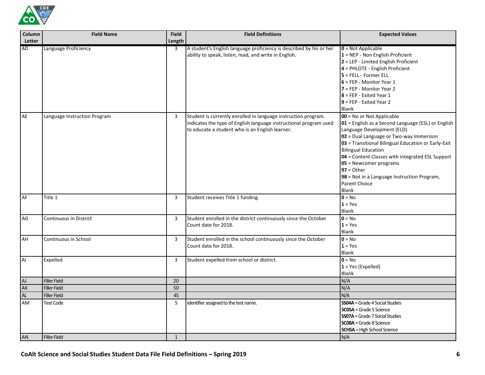

| Column<br>Letter | <b>Field Name</b>             | <b>Field</b><br>Length | <b>Field Definitions</b>                                                                                                                                                               | <b>Expected Values</b>                                                                                                                                                                                                                                                                                                                                                                                                             |
|------------------|-------------------------------|------------------------|----------------------------------------------------------------------------------------------------------------------------------------------------------------------------------------|------------------------------------------------------------------------------------------------------------------------------------------------------------------------------------------------------------------------------------------------------------------------------------------------------------------------------------------------------------------------------------------------------------------------------------|
| <b>AD</b>        | Language Proficiency          | 3                      | A student's English language proficiency is described by his or her<br>ability to speak, listen, read, and write in English.                                                           | $0 = Not Applicable$<br>$1 = NEP - Non English Proficient$<br>2 = LEP - Limited English Proficient<br>4 = PHLOTE - English Proficient<br>$5$ = FELL - Former ELL<br>$6$ = FEP - Monitor Year 1<br>7 = FEP - Monitor Year 2<br>$8$ = FEP - Exited Year 1<br>$9$ = FEP - Exited Year 2<br><b>Blank</b>                                                                                                                               |
| AE               | Language Instruction Program  | 3                      | Student is currently enrolled in language instruction program.<br>Indicates the type of English language instructional program used<br>to educate a student who is an English learner. | 00 = No or Not Applicable<br>01 = English as a Second Language (ESL) or English<br>Language Development (ELD)<br>02 = Dual Language or Two-way Immersion<br>03 = Transitional Bilingual Education or Early-Exit<br><b>Bilingual Education</b><br>04 = Content Classes with integrated ESL Support<br>05 = Newcomer programs<br>$97 = Other$<br>98 = Not in a Language Instruction Program,<br><b>Parent Choice</b><br><b>Blank</b> |
| AF               | Title 1                       | 3                      | Student receives Title 1 funding.                                                                                                                                                      | $0 = No$<br>$1 = Yes$<br><b>Blank</b>                                                                                                                                                                                                                                                                                                                                                                                              |
| AG               | <b>Continuous in District</b> | $\mathbf{3}$           | Student enrolled in the district continuously since the October<br>Count date for 2018.                                                                                                | $0 = No$<br>$1 = Yes$<br><b>Blank</b>                                                                                                                                                                                                                                                                                                                                                                                              |
| AH               | Continuous in School          | 3                      | Student enrolled in the school continuously since the October<br>Count date for 2018.                                                                                                  | $0 = No$<br>$1 = Yes$<br><b>Blank</b>                                                                                                                                                                                                                                                                                                                                                                                              |
| Al               | Expelled                      | $\mathbf{3}$           | Student expelled from school or district.                                                                                                                                              | $0 = No$<br>$1 = Yes (Expelled)$<br><b>Blank</b>                                                                                                                                                                                                                                                                                                                                                                                   |
| ${\sf A}$        | <b>Filler Field</b>           | 20                     |                                                                                                                                                                                        | N/A                                                                                                                                                                                                                                                                                                                                                                                                                                |
| AK               | <b>Filler Field</b>           | 50                     |                                                                                                                                                                                        | N/A                                                                                                                                                                                                                                                                                                                                                                                                                                |
| AL               | <b>Filler Field</b>           | 45                     |                                                                                                                                                                                        | N/A                                                                                                                                                                                                                                                                                                                                                                                                                                |
| AM               | <b>Test Code</b>              | 5                      | Identifier assigned to the test name.                                                                                                                                                  | <b>SS04A</b> = Grade 4 Social Studies<br><b>SC05A</b> = Grade 5 Science<br><b>SS07A</b> = Grade 7 Social Studies<br><b>SC08A</b> = Grade 8 Science<br><b>SCHSA</b> = High School Science                                                                                                                                                                                                                                           |
| AN               | <b>Filler Field</b>           | $\mathbf{1}$           |                                                                                                                                                                                        | N/A                                                                                                                                                                                                                                                                                                                                                                                                                                |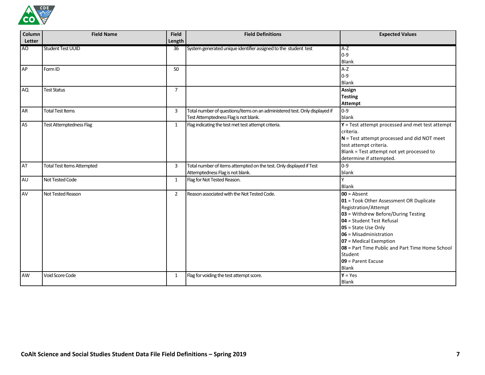

| Column         | <b>Field Name</b>                 | <b>Field</b>   | <b>Field Definitions</b>                                                                                            | <b>Expected Values</b>                                                                                                                                                                                                                                                                                                           |
|----------------|-----------------------------------|----------------|---------------------------------------------------------------------------------------------------------------------|----------------------------------------------------------------------------------------------------------------------------------------------------------------------------------------------------------------------------------------------------------------------------------------------------------------------------------|
| Letter         |                                   | Length         |                                                                                                                     |                                                                                                                                                                                                                                                                                                                                  |
| A <sub>O</sub> | <b>Student Test UUID</b>          | 36             | System generated unique identifier assigned to the student test                                                     | $A-Z$<br>$0 - 9$<br><b>Blank</b>                                                                                                                                                                                                                                                                                                 |
| AP             | Form ID                           | 50             |                                                                                                                     | $A-Z$<br>$0 - 9$<br><b>Blank</b>                                                                                                                                                                                                                                                                                                 |
| <b>AQ</b>      | <b>Test Status</b>                | $\overline{7}$ |                                                                                                                     | Assign<br><b>Testing</b><br><b>Attempt</b>                                                                                                                                                                                                                                                                                       |
| AR             | <b>Total Test Items</b>           | $\overline{3}$ | Total number of questions/items on an administered test. Only displayed if<br>Test Attemptedness Flag is not blank. | $0 - 9$<br>blank                                                                                                                                                                                                                                                                                                                 |
| <b>AS</b>      | <b>Test Attemptedness Flag</b>    | $\mathbf{1}$   | Flag indicating the test met test attempt criteria.                                                                 | $Y = Test$ attempt processed and met test attempt<br>criteria.<br>$N = Test$ attempt processed and did NOT meet<br>test attempt criteria.<br>Blank = Test attempt not yet processed to<br>determine if attempted.                                                                                                                |
| AT             | <b>Total Test Items Attempted</b> | $\overline{3}$ | Total number of items attempted on the test. Only displayed if Test<br>Attemptedness Flag is not blank.             | $0 - 9$<br>blank                                                                                                                                                                                                                                                                                                                 |
| AU             | <b>Not Tested Code</b>            | $\mathbf{1}$   | Flag for Not Tested Reason.                                                                                         | <b>Blank</b>                                                                                                                                                                                                                                                                                                                     |
| AV             | Not Tested Reason                 | $\overline{2}$ | Reason associated with the Not Tested Code.                                                                         | $00 =$ Absent<br>01 = Took Other Assessment OR Duplicate<br>Registration/Attempt<br>03 = Withdrew Before/During Testing<br>04 = Student Test Refusal<br>$05$ = State Use Only<br>06 = Misadministration<br>07 = Medical Exemption<br>08 = Part Time Public and Part Time Home School<br>Student<br>$09$ = Parent Excuse<br>Blank |
| <b>AW</b>      | Void Score Code                   | 1              | Flag for voiding the test attempt score.                                                                            | $Y = Yes$<br><b>Blank</b>                                                                                                                                                                                                                                                                                                        |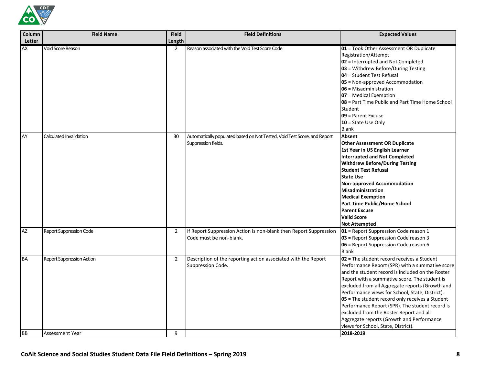

| Column          | <b>Field Name</b>                                   | <b>Field</b>        | <b>Field Definitions</b>                                                                        | <b>Expected Values</b>                                                                                                                                                                                                                                                                                                                                                                                                                                                                                                                                       |
|-----------------|-----------------------------------------------------|---------------------|-------------------------------------------------------------------------------------------------|--------------------------------------------------------------------------------------------------------------------------------------------------------------------------------------------------------------------------------------------------------------------------------------------------------------------------------------------------------------------------------------------------------------------------------------------------------------------------------------------------------------------------------------------------------------|
| Letter          |                                                     | Length              |                                                                                                 |                                                                                                                                                                                                                                                                                                                                                                                                                                                                                                                                                              |
| AX              | Void Score Reason                                   | 2                   | Reason associated with the Void Test Score Code.                                                | 01 = Took Other Assessment OR Duplicate<br>Registration/Attempt<br>02 = Interrupted and Not Completed<br>03 = Withdrew Before/During Testing<br>04 = Student Test Refusal<br>05 = Non-approved Accommodation<br>06 = Misadministration<br>07 = Medical Exemption<br>08 = Part Time Public and Part Time Home School<br>Student<br>09 = Parent Excuse<br>10 = State Use Only<br>Blank                                                                                                                                                                         |
| AY              | Calculated Invalidation                             | 30                  | Automatically populated based on Not Tested, Void Test Score, and Report<br>Suppression fields. | Absent<br><b>Other Assessment OR Duplicate</b><br>1st Year in US English Learner<br><b>Interrupted and Not Completed</b><br><b>Withdrew Before/During Testing</b><br><b>Student Test Refusal</b><br><b>State Use</b><br><b>Non-approved Accommodation</b><br>Misadministration<br><b>Medical Exemption</b><br><b>Part Time Public/Home School</b><br><b>Parent Excuse</b><br><b>Valid Score</b><br><b>Not Attempted</b>                                                                                                                                      |
| <b>AZ</b>       | <b>Report Suppression Code</b>                      | $\overline{2}$      | If Report Suppression Action is non-blank then Report Suppression<br>Code must be non-blank.    | 01 = Report Suppression Code reason 1<br>03 = Report Suppression Code reason 3<br>06 = Report Suppression Code reason 6<br><b>Blank</b>                                                                                                                                                                                                                                                                                                                                                                                                                      |
| <b>BA</b><br>BB | <b>Report Suppression Action</b><br>Assessment Year | $\overline{2}$<br>9 | Description of the reporting action associated with the Report<br>Suppression Code.             | $02$ = The student record receives a Student<br>Performance Report (SPR) with a summative score<br>and the student record is included on the Roster<br>Report with a summative score. The student is<br>excluded from all Aggregate reports (Growth and<br>Performance views for School, State, District).<br>05 = The student record only receives a Student<br>Performance Report (SPR). The student record is<br>excluded from the Roster Report and all<br>Aggregate reports (Growth and Performance<br>views for School, State, District).<br>2018-2019 |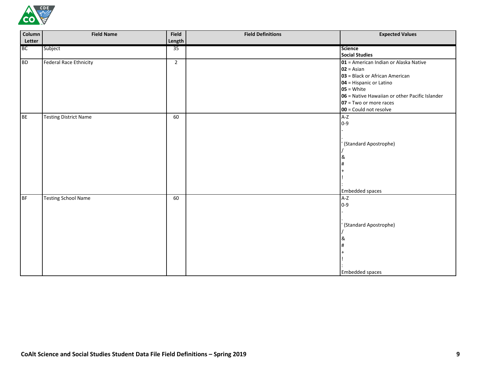

| Column    | <b>Field Name</b>            | Field          | <b>Field Definitions</b> | <b>Expected Values</b>                         |
|-----------|------------------------------|----------------|--------------------------|------------------------------------------------|
| Letter    |                              | Length         |                          |                                                |
| <b>BC</b> | Subject                      | 35             |                          | <b>Science</b>                                 |
|           |                              |                |                          | <b>Social Studies</b>                          |
| <b>BD</b> | Federal Race Ethnicity       | $\overline{2}$ |                          | 01 = American Indian or Alaska Native          |
|           |                              |                |                          | $02 = Asian$                                   |
|           |                              |                |                          | 03 = Black or African American                 |
|           |                              |                |                          | 04 = Hispanic or Latino                        |
|           |                              |                |                          | $05 =$ White                                   |
|           |                              |                |                          | 06 = Native Hawaiian or other Pacific Islander |
|           |                              |                |                          | 07 = Two or more races                         |
|           |                              |                |                          | 00 = Could not resolve                         |
| <b>BE</b> | <b>Testing District Name</b> | 60             |                          | $A-Z$                                          |
|           |                              |                |                          | $0 - 9$                                        |
|           |                              |                |                          |                                                |
|           |                              |                |                          |                                                |
|           |                              |                |                          | (Standard Apostrophe)                          |
|           |                              |                |                          |                                                |
|           |                              |                |                          | &                                              |
|           |                              |                |                          |                                                |
|           |                              |                |                          |                                                |
|           |                              |                |                          |                                                |
|           |                              |                |                          |                                                |
|           |                              |                |                          | Embedded spaces                                |
| BF        | <b>Testing School Name</b>   | 60             |                          | $A-Z$                                          |
|           |                              |                |                          | $0 - 9$                                        |
|           |                              |                |                          |                                                |
|           |                              |                |                          |                                                |
|           |                              |                |                          | (Standard Apostrophe)                          |
|           |                              |                |                          |                                                |
|           |                              |                |                          |                                                |
|           |                              |                |                          |                                                |
|           |                              |                |                          |                                                |
|           |                              |                |                          |                                                |
|           |                              |                |                          |                                                |
|           |                              |                |                          | <b>Embedded spaces</b>                         |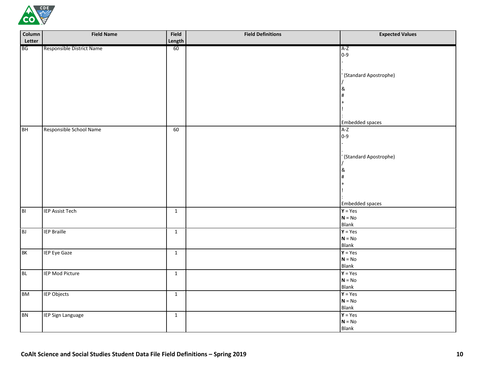

| Column         | <b>Field Name</b>         | Field          | <b>Field Definitions</b> | <b>Expected Values</b> |
|----------------|---------------------------|----------------|--------------------------|------------------------|
| Letter         |                           | Length         |                          |                        |
| <b>BG</b>      | Responsible District Name | 60             |                          | $A-Z$                  |
|                |                           |                |                          | $0 - 9$                |
|                |                           |                |                          |                        |
|                |                           |                |                          |                        |
|                |                           |                |                          | (Standard Apostrophe)  |
|                |                           |                |                          | &                      |
|                |                           |                |                          |                        |
|                |                           |                |                          |                        |
|                |                           |                |                          |                        |
|                |                           |                |                          |                        |
|                |                           |                |                          | <b>Embedded spaces</b> |
| <b>BH</b>      | Responsible School Name   | 60             |                          | $A-Z$                  |
|                |                           |                |                          | $0 - 9$                |
|                |                           |                |                          |                        |
|                |                           |                |                          |                        |
|                |                           |                |                          | (Standard Apostrophe)  |
|                |                           |                |                          |                        |
|                |                           |                |                          | &                      |
|                |                           |                |                          |                        |
|                |                           |                |                          |                        |
|                |                           |                |                          |                        |
|                |                           |                |                          | <b>Embedded spaces</b> |
| B <sub>1</sub> | <b>IEP Assist Tech</b>    | $\mathbf{1}$   |                          | $Y = Yes$              |
|                |                           |                |                          | $N = No$               |
|                |                           |                |                          | Blank                  |
| B              | <b>IEP Braille</b>        | $\mathbf 1$    |                          | $Y = Yes$              |
|                |                           |                |                          | $N = No$               |
|                |                           |                |                          | <b>Blank</b>           |
| <b>BK</b>      | IEP Eye Gaze              | $\overline{1}$ |                          | $Y = Yes$              |
|                |                           |                |                          | $N = No$               |
|                |                           |                |                          | <b>Blank</b>           |
| <b>BL</b>      | <b>IEP Mod Picture</b>    | $\mathbf{1}$   |                          | $Y = Yes$              |
|                |                           |                |                          | $N = No$               |
|                |                           |                |                          | <b>Blank</b>           |
| <b>BM</b>      | <b>IEP Objects</b>        | $\mathbf{1}$   |                          | $Y = Yes$              |
|                |                           |                |                          | $N = No$               |
|                |                           |                |                          | Blank                  |
| <b>BN</b>      | <b>IEP Sign Language</b>  | $\mathbf{1}$   |                          | $Y = Yes$              |
|                |                           |                |                          | $N = No$               |
|                |                           |                |                          | <b>Blank</b>           |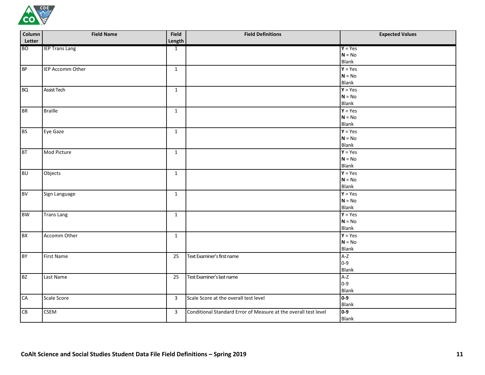

| Column<br>Letter | <b>Field Name</b>     | Field<br>Length | <b>Field Definitions</b>                                        | <b>Expected Values</b> |
|------------------|-----------------------|-----------------|-----------------------------------------------------------------|------------------------|
| <b>BO</b>        | <b>IEP Trans Lang</b> | $\mathbf{1}$    |                                                                 | $Y = Yes$              |
|                  |                       |                 |                                                                 | $N = No$               |
|                  |                       |                 |                                                                 | <b>Blank</b>           |
| <b>BP</b>        | IEP Accomm Other      | $\mathbf{1}$    |                                                                 | $\overline{Y}$ = Yes   |
|                  |                       |                 |                                                                 | $N = No$               |
|                  |                       |                 |                                                                 | Blank                  |
| <b>BQ</b>        | <b>Assist Tech</b>    | $\mathbf{1}$    |                                                                 | $Y = Yes$              |
|                  |                       |                 |                                                                 | $N = No$               |
|                  |                       |                 |                                                                 | Blank                  |
| <b>BR</b>        | <b>Braille</b>        | $\mathbf{1}$    |                                                                 | $Y = Yes$              |
|                  |                       |                 |                                                                 | $N = No$               |
|                  |                       |                 |                                                                 | <b>Blank</b>           |
| <b>BS</b>        | Eye Gaze              | $\mathbf{1}$    |                                                                 | $Y = Yes$              |
|                  |                       |                 |                                                                 | $N = No$               |
|                  |                       |                 |                                                                 | Blank                  |
| <b>BT</b>        | Mod Picture           | $\mathbf{1}$    |                                                                 | $Y = Yes$              |
|                  |                       |                 |                                                                 | $N = No$               |
|                  |                       |                 |                                                                 | Blank                  |
| <b>BU</b>        | Objects               | $\mathbf 1$     |                                                                 | $Y = Yes$              |
|                  |                       |                 |                                                                 | $N = No$               |
|                  |                       |                 |                                                                 | Blank                  |
| <b>BV</b>        | Sign Language         | $\mathbf 1$     |                                                                 | $Y = Yes$              |
|                  |                       |                 |                                                                 | $N = No$               |
|                  |                       |                 |                                                                 | <b>Blank</b>           |
| <b>BW</b>        | <b>Trans Lang</b>     | $\mathbf 1$     |                                                                 | $Y = Yes$              |
|                  |                       |                 |                                                                 | $N = No$               |
|                  |                       |                 |                                                                 | Blank                  |
| <b>BX</b>        | Accomm Other          | $\mathbf{1}$    |                                                                 | $Y = Yes$              |
|                  |                       |                 |                                                                 | $N = No$               |
|                  |                       |                 |                                                                 | Blank                  |
| <b>BY</b>        | First Name            | 25              | Text Examiner's first name                                      | $A-Z$                  |
|                  |                       |                 |                                                                 | $0 - 9$                |
|                  |                       |                 |                                                                 | <b>Blank</b>           |
| <b>BZ</b>        | Last Name             | 25              | Test Examiner's last name                                       | $A-Z$<br>$0 - 9$       |
|                  |                       |                 |                                                                 | Blank                  |
|                  |                       |                 |                                                                 | $0-9$                  |
| <b>CA</b>        | Scale Score           | 3               | Scale Score at the overall test level                           | Blank                  |
|                  | <b>CSEM</b>           |                 | Conditional Standard Error of Measure at the overall test level | $0-9$                  |
| CB               |                       | $\mathbf{3}$    |                                                                 | Blank                  |
|                  |                       |                 |                                                                 |                        |